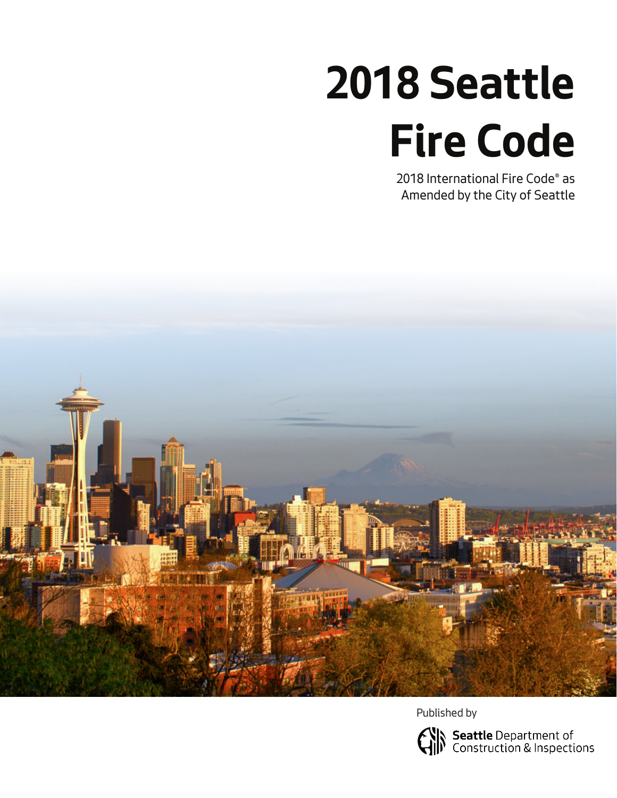# **2018 Seattle Fire Code**

2018 International Fire Code® as Amended by the City of Seattle



Published by



Seattle Department of<br>(Seattle Department of Construction & Inspections)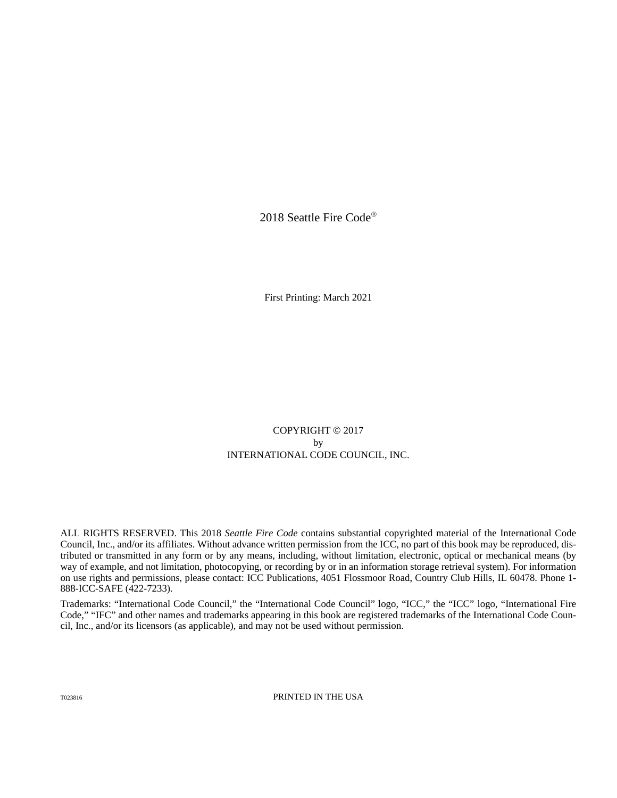2018 Seattle Fire Code

First Printing: March 2021

#### COPYRIGHT © 2017 by INTERNATIONAL CODE COUNCIL, INC.

ALL RIGHTS RESERVED. This 2018 *Seattle Fire Code* contains substantial copyrighted material of the International Code Council, Inc., and/or its affiliates. Without advance written permission from the ICC, no part of this book may be reproduced, distributed or transmitted in any form or by any means, including, without limitation, electronic, optical or mechanical means (by way of example, and not limitation, photocopying, or recording by or in an information storage retrieval system). For information on use rights and permissions, please contact: ICC Publications, 4051 Flossmoor Road, Country Club Hills, IL 60478. Phone 1- 888-ICC-SAFE (422-7233).

Trademarks: "International Code Council," the "International Code Council" logo, "ICC," the "ICC" logo, "International Fire Code," "IFC" and other names and trademarks appearing in this book are registered trademarks of the International Code Council, Inc., and/or its licensors (as applicable), and may not be used without permission.

T023816 PRINTED IN THE USA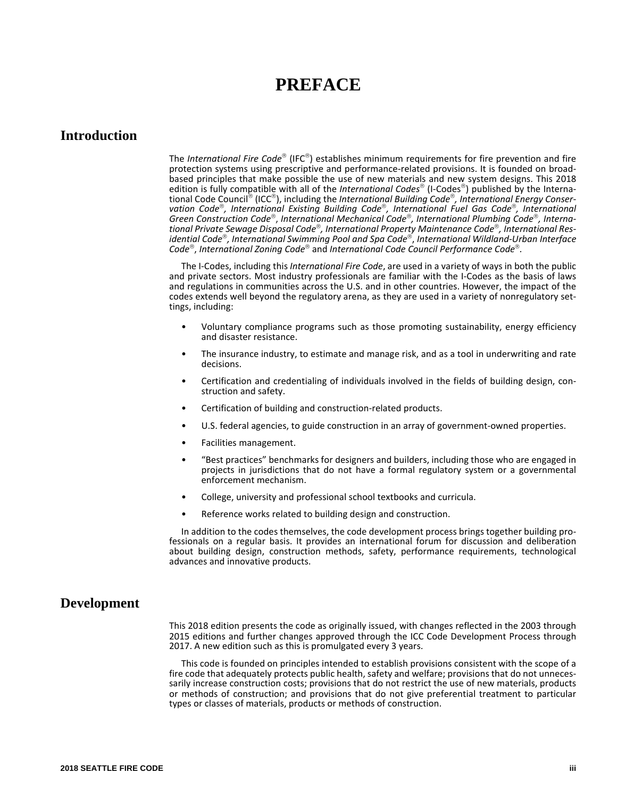# **PREFACE**

#### **Introduction**

The International Fire Code® (IFC®) establishes minimum requirements for fire prevention and fire protection systems using prescriptive and performance-related provisions. It is founded on broadbased principles that make possible the use of new materials and new system designs. This 2018 edition is fully compatible with all of the *International Codes* (I-Codes ) published by the International Code Council® (ICC®), including the *International Building Code®, International Energy Conservation Code , International Existing Building Code , International Fuel Gas Code , International Green Construction Code* , *International Mechanical Code , International Plumbing Code , International Private Sewage Disposal Code , International Property Maintenance Code , International Residential Code , International Swimming Pool and Spa Code* , *International Wildland-Urban Interface* Code®, International Zoning Code® and International Code Council Performance Code®.

The I-Codes, including this *International Fire Code*, are used in a variety of ways in both the public and private sectors. Most industry professionals are familiar with the I-Codes as the basis of laws and regulations in communities across the U.S. and in other countries. However, the impact of the codes extends well beyond the regulatory arena, as they are used in a variety of nonregulatory settings, including:

- Voluntary compliance programs such as those promoting sustainability, energy efficiency and disaster resistance.
- The insurance industry, to estimate and manage risk, and as a tool in underwriting and rate decisions.
- Certification and credentialing of individuals involved in the fields of building design, construction and safety.
- Certification of building and construction-related products.
- U.S. federal agencies, to guide construction in an array of government-owned properties.
- Facilities management.
- "Best practices" benchmarks for designers and builders, including those who are engaged in projects in jurisdictions that do not have a formal regulatory system or a governmental enforcement mechanism.
- College, university and professional school textbooks and curricula.
- Reference works related to building design and construction.

In addition to the codes themselves, the code development process brings together building professionals on a regular basis. It provides an international forum for discussion and deliberation about building design, construction methods, safety, performance requirements, technological advances and innovative products.

#### **Development**

This 2018 edition presents the code as originally issued, with changes reflected in the 2003 through 2015 editions and further changes approved through the ICC Code Development Process through 2017. A new edition such as this is promulgated every 3 years.

This code is founded on principles intended to establish provisions consistent with the scope of a fire code that adequately protects public health, safety and welfare; provisions that do not unnecessarily increase construction costs; provisions that do not restrict the use of new materials, products or methods of construction; and provisions that do not give preferential treatment to particular types or classes of materials, products or methods of construction.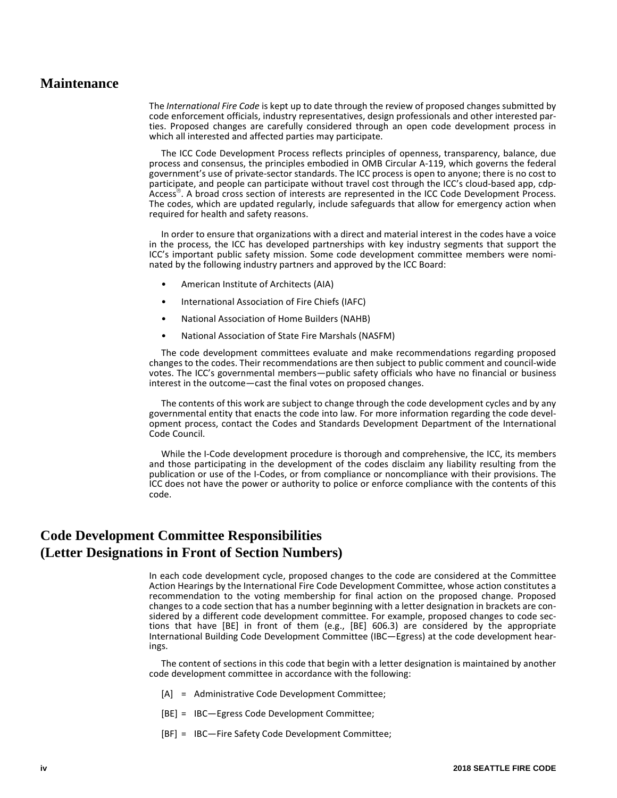#### **Maintenance**

The *International Fire Code* is kept up to date through the review of proposed changes submitted by code enforcement officials, industry representatives, design professionals and other interested parties. Proposed changes are carefully considered through an open code development process in which all interested and affected parties may participate.

The ICC Code Development Process reflects principles of openness, transparency, balance, due process and consensus, the principles embodied in OMB Circular A-119, which governs the federal government's use of private-sector standards. The ICC process is open to anyone; there is no cost to participate, and people can participate without travel cost through the ICC's cloud-based app, cdp-Access . A broad cross section of interests are represented in the ICC Code Development Process. The codes, which are updated regularly, include safeguards that allow for emergency action when required for health and safety reasons.

In order to ensure that organizations with a direct and material interest in the codes have a voice in the process, the ICC has developed partnerships with key industry segments that support the ICC's important public safety mission. Some code development committee members were nominated by the following industry partners and approved by the ICC Board:

- American Institute of Architects (AIA)
- International Association of Fire Chiefs (IAFC)
- National Association of Home Builders (NAHB)
- National Association of State Fire Marshals (NASFM)

The code development committees evaluate and make recommendations regarding proposed changes to the codes. Their recommendations are then subject to public comment and council-wide votes. The ICC's governmental members—public safety officials who have no financial or business interest in the outcome—cast the final votes on proposed changes.

The contents of this work are subject to change through the code development cycles and by any governmental entity that enacts the code into law. For more information regarding the code development process, contact the Codes and Standards Development Department of the International Code Council.

While the I-Code development procedure is thorough and comprehensive, the ICC, its members and those participating in the development of the codes disclaim any liability resulting from the publication or use of the I-Codes, or from compliance or noncompliance with their provisions. The ICC does not have the power or authority to police or enforce compliance with the contents of this code.

## **Code Development Committee Responsibilities (Letter Designations in Front of Section Numbers)**

In each code development cycle, proposed changes to the code are considered at the Committee Action Hearings by the International Fire Code Development Committee, whose action constitutes a recommendation to the voting membership for final action on the proposed change. Proposed changes to a code section that has a number beginning with a letter designation in brackets are considered by a different code development committee. For example, proposed changes to code sections that have [BE] in front of them (e.g., [BE] 606.3) are considered by the appropriate International Building Code Development Committee (IBC—Egress) at the code development hearings.

The content of sections in this code that begin with a letter designation is maintained by another code development committee in accordance with the following:

- [A] = Administrative Code Development Committee;
- [BE] = IBC—Egress Code Development Committee;
- [BF] = IBC—Fire Safety Code Development Committee;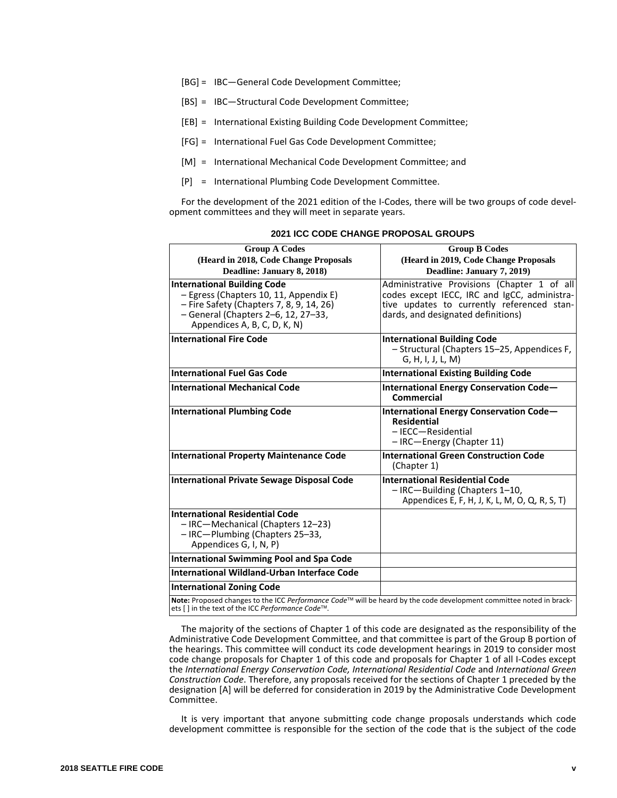- [BG] = IBC—General Code Development Committee;
- [BS] = IBC—Structural Code Development Committee;
- [EB] = International Existing Building Code Development Committee;
- [FG] = International Fuel Gas Code Development Committee;
- [M] = International Mechanical Code Development Committee; and
- [P] = International Plumbing Code Development Committee.

For the development of the 2021 edition of the I-Codes, there will be two groups of code development committees and they will meet in separate years.

| <b>Group A Codes</b><br>(Heard in 2018, Code Change Proposals                                                                                                                                   | <b>Group B Codes</b><br>(Heard in 2019, Code Change Proposals                                                                                                                   |
|-------------------------------------------------------------------------------------------------------------------------------------------------------------------------------------------------|---------------------------------------------------------------------------------------------------------------------------------------------------------------------------------|
| Deadline: January 8, 2018)                                                                                                                                                                      | Deadline: January 7, 2019)                                                                                                                                                      |
| <b>International Building Code</b><br>- Egress (Chapters 10, 11, Appendix E)<br>- Fire Safety (Chapters 7, 8, 9, 14, 26)<br>- General (Chapters 2–6, 12, 27–33,<br>Appendices A, B, C, D, K, N) | Administrative Provisions (Chapter 1 of all<br>codes except IECC, IRC and IgCC, administra-<br>tive updates to currently referenced stan-<br>dards, and designated definitions) |
| <b>International Fire Code</b>                                                                                                                                                                  | <b>International Building Code</b><br>- Structural (Chapters 15-25, Appendices F,<br>G, H, I, J, L, M)                                                                          |
| <b>International Fuel Gas Code</b>                                                                                                                                                              | <b>International Existing Building Code</b>                                                                                                                                     |
| <b>International Mechanical Code</b>                                                                                                                                                            | International Energy Conservation Code-<br>Commercial                                                                                                                           |
| <b>International Plumbing Code</b>                                                                                                                                                              | International Energy Conservation Code-<br><b>Residential</b><br>- IECC-Residential<br>- IRC-Energy (Chapter 11)                                                                |
| <b>International Property Maintenance Code</b>                                                                                                                                                  | <b>International Green Construction Code</b><br>(Chapter 1)                                                                                                                     |
| <b>International Private Sewage Disposal Code</b>                                                                                                                                               | <b>International Residential Code</b><br>- IRC-Building (Chapters 1-10,<br>Appendices E, F, H, J, K, L, M, O, Q, R, S, T)                                                       |
| <b>International Residential Code</b><br>- IRC-Mechanical (Chapters 12-23)<br>- IRC-Plumbing (Chapters 25-33,<br>Appendices G, I, N, P)                                                         |                                                                                                                                                                                 |
| <b>International Swimming Pool and Spa Code</b>                                                                                                                                                 |                                                                                                                                                                                 |
| International Wildland-Urban Interface Code                                                                                                                                                     |                                                                                                                                                                                 |
| <b>International Zoning Code</b>                                                                                                                                                                |                                                                                                                                                                                 |
| Note: Proposed changes to the ICC Performance Code™ will be heard by the code development committee noted in brack-<br>ets [] in the text of the ICC Performance Code™.                         |                                                                                                                                                                                 |

#### **2021 ICC CODE CHANGE PROPOSAL GROUPS**

The majority of the sections of Chapter 1 of this code are designated as the responsibility of the Administrative Code Development Committee, and that committee is part of the Group B portion of the hearings. This committee will conduct its code development hearings in 2019 to consider most code change proposals for Chapter 1 of this code and proposals for Chapter 1 of all I-Codes except the *International Energy Conservation Code, International Residential Code* and *International Green Construction Code*. Therefore, any proposals received for the sections of Chapter 1 preceded by the designation [A] will be deferred for consideration in 2019 by the Administrative Code Development Committee.

It is very important that anyone submitting code change proposals understands which code development committee is responsible for the section of the code that is the subject of the code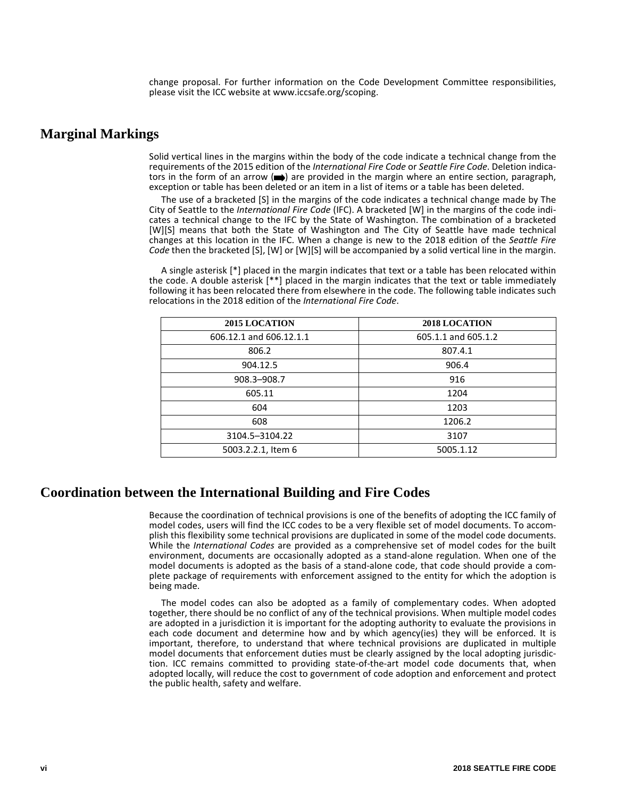change proposal. For further information on the Code Development Committee responsibilities, please visit the ICC website at www.iccsafe.org/scoping.

#### **Marginal Markings**

Solid vertical lines in the margins within the body of the code indicate a technical change from the requirements of the 2015 edition of the *International Fire Code* or *Seattle Fire Code*. Deletion indicators in the form of an arrow  $(\rightarrow)$  are provided in the margin where an entire section, paragraph, exception or table has been deleted or an item in a list of items or a table has been deleted.

The use of a bracketed [S] in the margins of the code indicates a technical change made by The City of Seattle to the *International Fire Code* (IFC). A bracketed [W] in the margins of the code indicates a technical change to the IFC by the State of Washington. The combination of a bracketed [W][S] means that both the State of Washington and The City of Seattle have made technical changes at this location in the IFC. When a change is new to the 2018 edition of the *Seattle Fire Code* then the bracketed [S], [W] or [W][S] will be accompanied by a solid vertical line in the margin.

A single asterisk [\*] placed in the margin indicates that text or a table has been relocated within the code. A double asterisk [\*\*] placed in the margin indicates that the text or table immediately following it has been relocated there from elsewhere in the code. The following table indicates such relocations in the 2018 edition of the *International Fire Code*.

| 2015 LOCATION           | 2018 LOCATION       |
|-------------------------|---------------------|
| 606.12.1 and 606.12.1.1 | 605.1.1 and 605.1.2 |
| 806.2                   | 807.4.1             |
| 904.12.5                | 906.4               |
| 908.3-908.7             | 916                 |
| 605.11                  | 1204                |
| 604                     | 1203                |
| 608                     | 1206.2              |
| 3104.5-3104.22          | 3107                |
| 5003.2.2.1, Item 6      | 5005.1.12           |

#### **Coordination between the International Building and Fire Codes**

Because the coordination of technical provisions is one of the benefits of adopting the ICC family of model codes, users will find the ICC codes to be a very flexible set of model documents. To accomplish this flexibility some technical provisions are duplicated in some of the model code documents. While the *International Codes* are provided as a comprehensive set of model codes for the built environment, documents are occasionally adopted as a stand-alone regulation. When one of the model documents is adopted as the basis of a stand-alone code, that code should provide a complete package of requirements with enforcement assigned to the entity for which the adoption is being made.

The model codes can also be adopted as a family of complementary codes. When adopted together, there should be no conflict of any of the technical provisions. When multiple model codes are adopted in a jurisdiction it is important for the adopting authority to evaluate the provisions in each code document and determine how and by which agency(ies) they will be enforced. It is important, therefore, to understand that where technical provisions are duplicated in multiple model documents that enforcement duties must be clearly assigned by the local adopting jurisdiction. ICC remains committed to providing state-of-the-art model code documents that, when adopted locally, will reduce the cost to government of code adoption and enforcement and protect the public health, safety and welfare.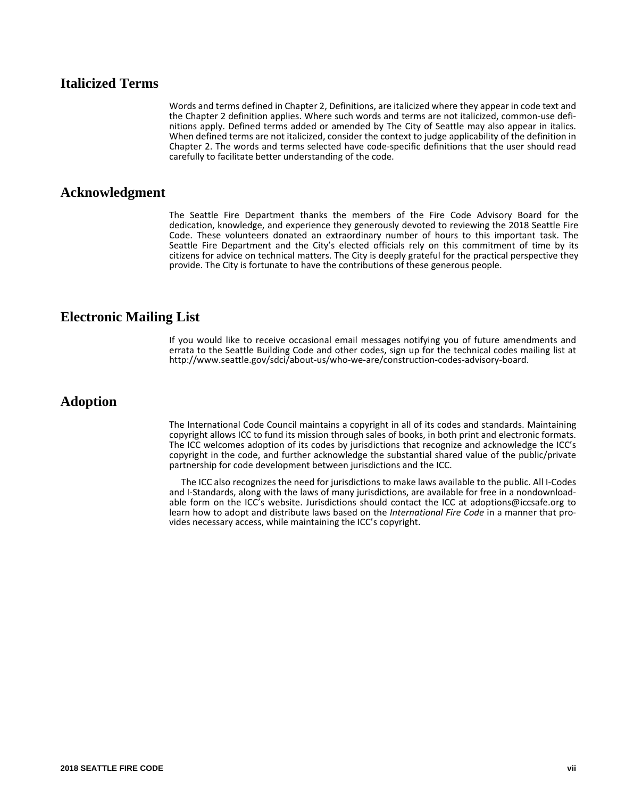#### **Italicized Terms**

Words and terms defined in Chapter 2, Definitions, are italicized where they appear in code text and the Chapter 2 definition applies. Where such words and terms are not italicized, common-use definitions apply. Defined terms added or amended by The City of Seattle may also appear in italics. When defined terms are not italicized, consider the context to judge applicability of the definition in Chapter 2. The words and terms selected have code-specific definitions that the user should read carefully to facilitate better understanding of the code.

#### **Acknowledgment**

The Seattle Fire Department thanks the members of the Fire Code Advisory Board for the dedication, knowledge, and experience they generously devoted to reviewing the 2018 Seattle Fire Code. These volunteers donated an extraordinary number of hours to this important task. The Seattle Fire Department and the City's elected officials rely on this commitment of time by its citizens for advice on technical matters. The City is deeply grateful for the practical perspective they provide. The City is fortunate to have the contributions of these generous people.

#### **Electronic Mailing List**

If you would like to receive occasional email messages notifying you of future amendments and errata to the Seattle Building Code and other codes, sign up for the technical codes mailing list at http://www.seattle.gov/sdci/about-us/who-we-are/construction-codes-advisory-board.

#### **Adoption**

The International Code Council maintains a copyright in all of its codes and standards. Maintaining copyright allows ICC to fund its mission through sales of books, in both print and electronic formats. The ICC welcomes adoption of its codes by jurisdictions that recognize and acknowledge the ICC's copyright in the code, and further acknowledge the substantial shared value of the public/private partnership for code development between jurisdictions and the ICC.

The ICC also recognizes the need for jurisdictions to make laws available to the public. All I-Codes and I-Standards, along with the laws of many jurisdictions, are available for free in a nondownloadable form on the ICC's website. Jurisdictions should contact the ICC at adoptions@iccsafe.org to learn how to adopt and distribute laws based on the *International Fire Code* in a manner that provides necessary access, while maintaining the ICC's copyright.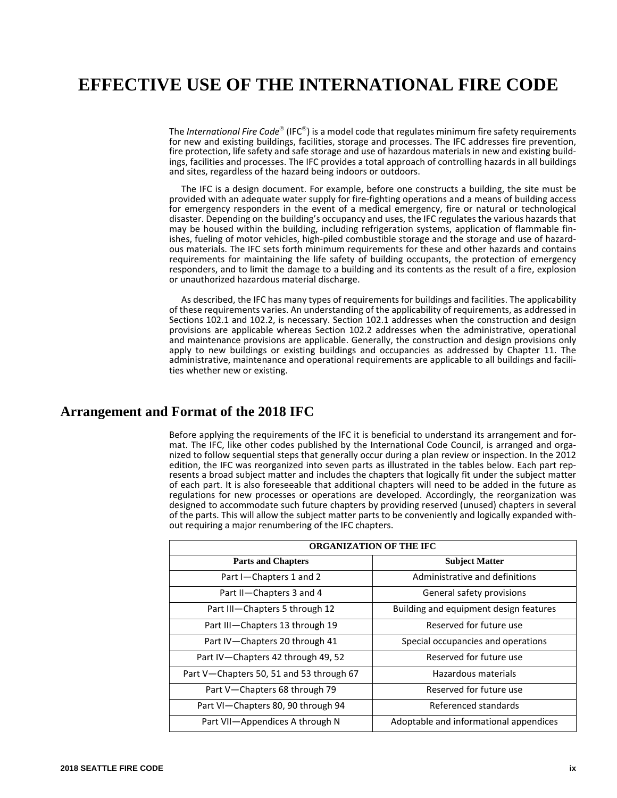# **EFFECTIVE USE OF THE INTERNATIONAL FIRE CODE**

The *International Fire Code*® (IFC®) is a model code that regulates minimum fire safety requirements for new and existing buildings, facilities, storage and processes. The IFC addresses fire prevention, fire protection, life safety and safe storage and use of hazardous materials in new and existing buildings, facilities and processes. The IFC provides a total approach of controlling hazards in all buildings and sites, regardless of the hazard being indoors or outdoors.

The IFC is a design document. For example, before one constructs a building, the site must be provided with an adequate water supply for fire-fighting operations and a means of building access for emergency responders in the event of a medical emergency, fire or natural or technological disaster. Depending on the building's occupancy and uses, the IFC regulates the various hazards that may be housed within the building, including refrigeration systems, application of flammable finishes, fueling of motor vehicles, high-piled combustible storage and the storage and use of hazardous materials. The IFC sets forth minimum requirements for these and other hazards and contains requirements for maintaining the life safety of building occupants, the protection of emergency responders, and to limit the damage to a building and its contents as the result of a fire, explosion or unauthorized hazardous material discharge.

As described, the IFC has many types of requirements for buildings and facilities. The applicability of these requirements varies. An understanding of the applicability of requirements, as addressed in Sections 102.1 and 102.2, is necessary. Section 102.1 addresses when the construction and design provisions are applicable whereas Section 102.2 addresses when the administrative, operational and maintenance provisions are applicable. Generally, the construction and design provisions only apply to new buildings or existing buildings and occupancies as addressed by Chapter 11. The administrative, maintenance and operational requirements are applicable to all buildings and facilities whether new or existing.

#### **Arrangement and Format of the 2018 IFC**

Before applying the requirements of the IFC it is beneficial to understand its arrangement and format. The IFC, like other codes published by the International Code Council, is arranged and organized to follow sequential steps that generally occur during a plan review or inspection. In the 2012 edition, the IFC was reorganized into seven parts as illustrated in the tables below. Each part represents a broad subject matter and includes the chapters that logically fit under the subject matter of each part. It is also foreseeable that additional chapters will need to be added in the future as regulations for new processes or operations are developed. Accordingly, the reorganization was designed to accommodate such future chapters by providing reserved (unused) chapters in several of the parts. This will allow the subject matter parts to be conveniently and logically expanded without requiring a major renumbering of the IFC chapters.

| <b>ORGANIZATION OF THE IFC</b>           |                                        |
|------------------------------------------|----------------------------------------|
| <b>Parts and Chapters</b>                | <b>Subject Matter</b>                  |
| Part I-Chapters 1 and 2                  | Administrative and definitions         |
| Part II-Chapters 3 and 4                 | General safety provisions              |
| Part III-Chapters 5 through 12           | Building and equipment design features |
| Part III-Chapters 13 through 19          | Reserved for future use                |
| Part IV-Chapters 20 through 41           | Special occupancies and operations     |
| Part IV-Chapters 42 through 49, 52       | Reserved for future use                |
| Part V-Chapters 50, 51 and 53 through 67 | Hazardous materials                    |
| Part V-Chapters 68 through 79            | Reserved for future use                |
| Part VI-Chapters 80, 90 through 94       | Referenced standards                   |
| Part VII-Appendices A through N          | Adoptable and informational appendices |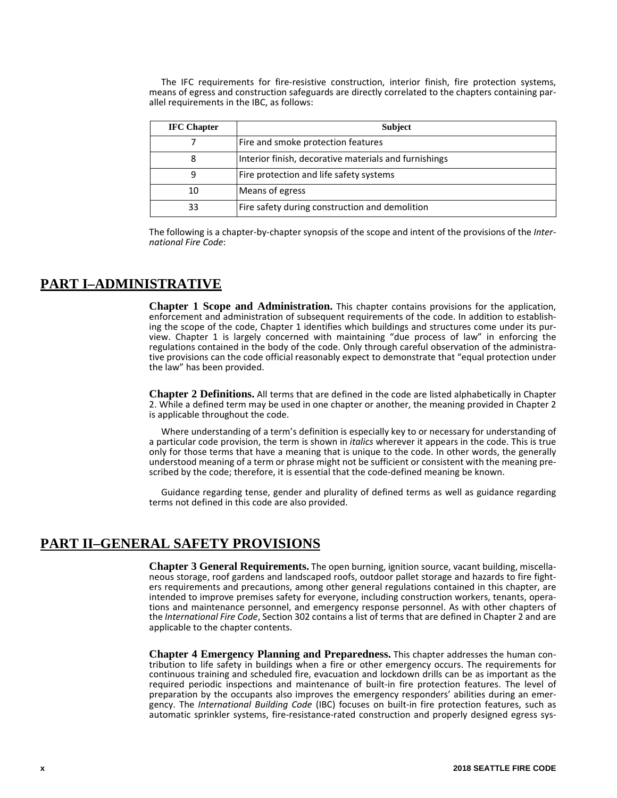The IFC requirements for fire-resistive construction, interior finish, fire protection systems, means of egress and construction safeguards are directly correlated to the chapters containing parallel requirements in the IBC, as follows:

| <b>IFC Chapter</b> | <b>Subject</b>                                        |
|--------------------|-------------------------------------------------------|
|                    | Fire and smoke protection features                    |
| 8                  | Interior finish, decorative materials and furnishings |
| 9                  | Fire protection and life safety systems               |
| 10                 | Means of egress                                       |
| 33                 | Fire safety during construction and demolition        |

The following is a chapter-by-chapter synopsis of the scope and intent of the provisions of the *International Fire Code*:

#### **PART I–ADMINISTRATIVE**

**Chapter 1 Scope and Administration.** This chapter contains provisions for the application, enforcement and administration of subsequent requirements of the code. In addition to establishing the scope of the code, Chapter 1 identifies which buildings and structures come under its purview. Chapter 1 is largely concerned with maintaining "due process of law" in enforcing the regulations contained in the body of the code. Only through careful observation of the administrative provisions can the code official reasonably expect to demonstrate that "equal protection under the law" has been provided.

**Chapter 2 Definitions.** All terms that are defined in the code are listed alphabetically in Chapter 2. While a defined term may be used in one chapter or another, the meaning provided in Chapter 2 is applicable throughout the code.

Where understanding of a term's definition is especially key to or necessary for understanding of a particular code provision, the term is shown in *italics* wherever it appears in the code. This is true only for those terms that have a meaning that is unique to the code. In other words, the generally understood meaning of a term or phrase might not be sufficient or consistent with the meaning prescribed by the code; therefore, it is essential that the code-defined meaning be known.

Guidance regarding tense, gender and plurality of defined terms as well as guidance regarding terms not defined in this code are also provided.

## **PART II–GENERAL SAFETY PROVISIONS**

**Chapter 3 General Requirements.** The open burning, ignition source, vacant building, miscellaneous storage, roof gardens and landscaped roofs, outdoor pallet storage and hazards to fire fighters requirements and precautions, among other general regulations contained in this chapter, are intended to improve premises safety for everyone, including construction workers, tenants, operations and maintenance personnel, and emergency response personnel. As with other chapters of the *International Fire Code*, Section 302 contains a list of terms that are defined in Chapter 2 and are applicable to the chapter contents.

**Chapter 4 Emergency Planning and Preparedness.** This chapter addresses the human contribution to life safety in buildings when a fire or other emergency occurs. The requirements for continuous training and scheduled fire, evacuation and lockdown drills can be as important as the required periodic inspections and maintenance of built-in fire protection features. The level of preparation by the occupants also improves the emergency responders' abilities during an emergency. The *International Building Code* (IBC) focuses on built-in fire protection features, such as automatic sprinkler systems, fire-resistance-rated construction and properly designed egress sys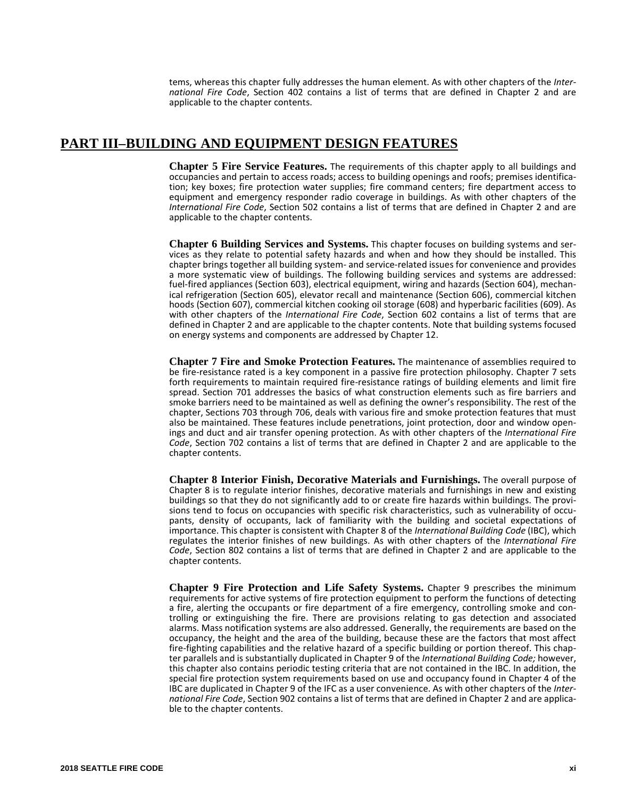tems, whereas this chapter fully addresses the human element. As with other chapters of the *International Fire Code*, Section 402 contains a list of terms that are defined in Chapter 2 and are applicable to the chapter contents.

#### **PART III–BUILDING AND EQUIPMENT DESIGN FEATURES**

**Chapter 5 Fire Service Features.** The requirements of this chapter apply to all buildings and occupancies and pertain to access roads; access to building openings and roofs; premises identification; key boxes; fire protection water supplies; fire command centers; fire department access to equipment and emergency responder radio coverage in buildings. As with other chapters of the *International Fire Code*, Section 502 contains a list of terms that are defined in Chapter 2 and are applicable to the chapter contents.

**Chapter 6 Building Services and Systems.** This chapter focuses on building systems and services as they relate to potential safety hazards and when and how they should be installed. This chapter brings together all building system- and service-related issues for convenience and provides a more systematic view of buildings. The following building services and systems are addressed: fuel-fired appliances (Section 603), electrical equipment, wiring and hazards (Section 604), mechanical refrigeration (Section 605), elevator recall and maintenance (Section 606), commercial kitchen hoods (Section 607), commercial kitchen cooking oil storage (608) and hyperbaric facilities (609). As with other chapters of the *International Fire Code*, Section 602 contains a list of terms that are defined in Chapter 2 and are applicable to the chapter contents. Note that building systems focused on energy systems and components are addressed by Chapter 12.

**Chapter 7 Fire and Smoke Protection Features.** The maintenance of assemblies required to be fire-resistance rated is a key component in a passive fire protection philosophy. Chapter 7 sets forth requirements to maintain required fire-resistance ratings of building elements and limit fire spread. Section 701 addresses the basics of what construction elements such as fire barriers and smoke barriers need to be maintained as well as defining the owner's responsibility. The rest of the chapter, Sections 703 through 706, deals with various fire and smoke protection features that must also be maintained. These features include penetrations, joint protection, door and window openings and duct and air transfer opening protection. As with other chapters of the *International Fire Code*, Section 702 contains a list of terms that are defined in Chapter 2 and are applicable to the chapter contents.

**Chapter 8 Interior Finish, Decorative Materials and Furnishings.** The overall purpose of Chapter 8 is to regulate interior finishes, decorative materials and furnishings in new and existing buildings so that they do not significantly add to or create fire hazards within buildings. The provisions tend to focus on occupancies with specific risk characteristics, such as vulnerability of occupants, density of occupants, lack of familiarity with the building and societal expectations of importance. This chapter is consistent with Chapter 8 of the *International Building Code* (IBC), which regulates the interior finishes of new buildings. As with other chapters of the *International Fire Code*, Section 802 contains a list of terms that are defined in Chapter 2 and are applicable to the chapter contents.

**Chapter 9 Fire Protection and Life Safety Systems.** Chapter 9 prescribes the minimum requirements for active systems of fire protection equipment to perform the functions of detecting a fire, alerting the occupants or fire department of a fire emergency, controlling smoke and controlling or extinguishing the fire. There are provisions relating to gas detection and associated alarms. Mass notification systems are also addressed. Generally, the requirements are based on the occupancy, the height and the area of the building, because these are the factors that most affect fire-fighting capabilities and the relative hazard of a specific building or portion thereof. This chapter parallels and is substantially duplicated in Chapter 9 of the *International Building Code;* however, this chapter also contains periodic testing criteria that are not contained in the IBC. In addition, the special fire protection system requirements based on use and occupancy found in Chapter 4 of the IBC are duplicated in Chapter 9 of the IFC as a user convenience. As with other chapters of the *International Fire Code*, Section 902 contains a list of terms that are defined in Chapter 2 and are applicable to the chapter contents.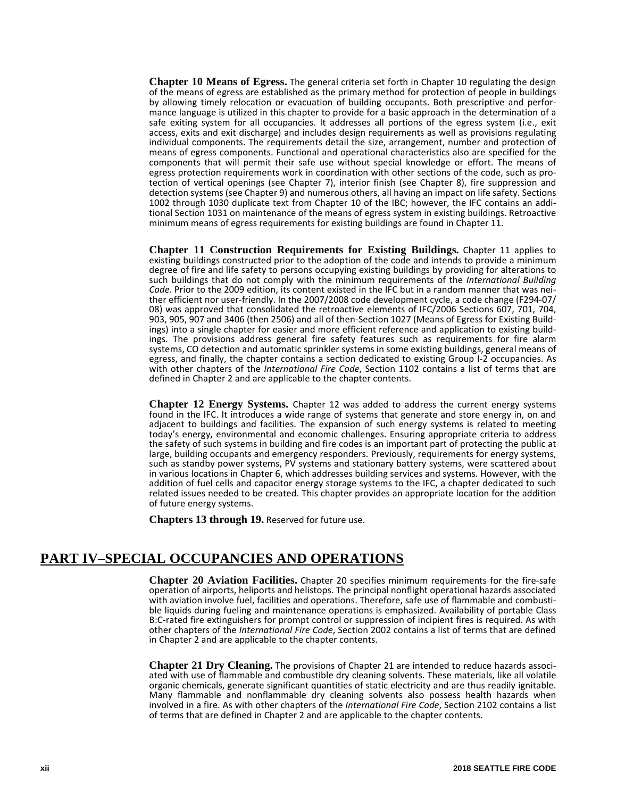**Chapter 10 Means of Egress.** The general criteria set forth in Chapter 10 regulating the design of the means of egress are established as the primary method for protection of people in buildings by allowing timely relocation or evacuation of building occupants. Both prescriptive and performance language is utilized in this chapter to provide for a basic approach in the determination of a safe exiting system for all occupancies. It addresses all portions of the egress system (i.e., exit access, exits and exit discharge) and includes design requirements as well as provisions regulating individual components. The requirements detail the size, arrangement, number and protection of means of egress components. Functional and operational characteristics also are specified for the components that will permit their safe use without special knowledge or effort. The means of egress protection requirements work in coordination with other sections of the code, such as protection of vertical openings (see Chapter 7), interior finish (see Chapter 8), fire suppression and detection systems (see Chapter 9) and numerous others, all having an impact on life safety. Sections 1002 through 1030 duplicate text from Chapter 10 of the IBC; however, the IFC contains an additional Section 1031 on maintenance of the means of egress system in existing buildings. Retroactive minimum means of egress requirements for existing buildings are found in Chapter 11.

**Chapter 11 Construction Requirements for Existing Buildings.** Chapter 11 applies to existing buildings constructed prior to the adoption of the code and intends to provide a minimum degree of fire and life safety to persons occupying existing buildings by providing for alterations to such buildings that do not comply with the minimum requirements of the *International Building Code*. Prior to the 2009 edition, its content existed in the IFC but in a random manner that was neither efficient nor user-friendly. In the 2007/2008 code development cycle, a code change (F294-07/ 08) was approved that consolidated the retroactive elements of IFC/2006 Sections 607, 701, 704, 903, 905, 907 and 3406 (then 2506) and all of then-Section 1027 (Means of Egress for Existing Buildings) into a single chapter for easier and more efficient reference and application to existing buildings. The provisions address general fire safety features such as requirements for fire alarm systems, CO detection and automatic sprinkler systems in some existing buildings, general means of egress, and finally, the chapter contains a section dedicated to existing Group I-2 occupancies. As with other chapters of the *International Fire Code*, Section 1102 contains a list of terms that are defined in Chapter 2 and are applicable to the chapter contents.

**Chapter 12 Energy Systems.** Chapter 12 was added to address the current energy systems found in the IFC. It introduces a wide range of systems that generate and store energy in, on and adjacent to buildings and facilities. The expansion of such energy systems is related to meeting today's energy, environmental and economic challenges. Ensuring appropriate criteria to address the safety of such systems in building and fire codes is an important part of protecting the public at large, building occupants and emergency responders. Previously, requirements for energy systems, such as standby power systems, PV systems and stationary battery systems, were scattered about in various locations in Chapter 6, which addresses building services and systems. However, with the addition of fuel cells and capacitor energy storage systems to the IFC, a chapter dedicated to such related issues needed to be created. This chapter provides an appropriate location for the addition of future energy systems.

**Chapters 13 through 19.** Reserved for future use.

## **PART IV–SPECIAL OCCUPANCIES AND OPERATIONS**

**Chapter 20 Aviation Facilities.** Chapter 20 specifies minimum requirements for the fire-safe operation of airports, heliports and helistops. The principal nonflight operational hazards associated with aviation involve fuel, facilities and operations. Therefore, safe use of flammable and combustible liquids during fueling and maintenance operations is emphasized. Availability of portable Class B:C-rated fire extinguishers for prompt control or suppression of incipient fires is required. As with other chapters of the *International Fire Code*, Section 2002 contains a list of terms that are defined in Chapter 2 and are applicable to the chapter contents.

**Chapter 21 Dry Cleaning.** The provisions of Chapter 21 are intended to reduce hazards associated with use of flammable and combustible dry cleaning solvents. These materials, like all volatile organic chemicals, generate significant quantities of static electricity and are thus readily ignitable. Many flammable and nonflammable dry cleaning solvents also possess health hazards when involved in a fire. As with other chapters of the *International Fire Code*, Section 2102 contains a list of terms that are defined in Chapter 2 and are applicable to the chapter contents.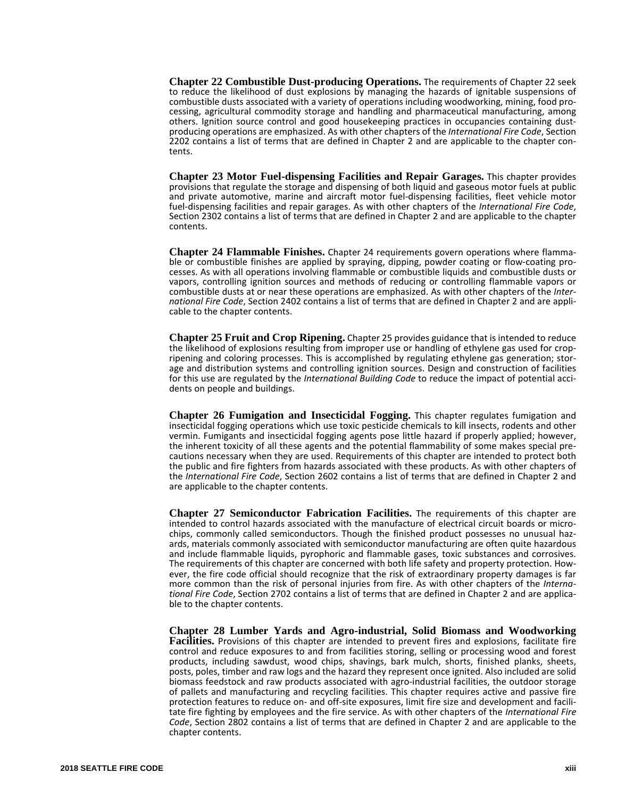**Chapter 22 Combustible Dust-producing Operations.** The requirements of Chapter 22 seek to reduce the likelihood of dust explosions by managing the hazards of ignitable suspensions of combustible dusts associated with a variety of operations including woodworking, mining, food processing, agricultural commodity storage and handling and pharmaceutical manufacturing, among others. Ignition source control and good housekeeping practices in occupancies containing dustproducing operations are emphasized. As with other chapters of the *International Fire Code*, Section 2202 contains a list of terms that are defined in Chapter 2 and are applicable to the chapter contents.

**Chapter 23 Motor Fuel-dispensing Facilities and Repair Garages.** This chapter provides provisions that regulate the storage and dispensing of both liquid and gaseous motor fuels at public and private automotive, marine and aircraft motor fuel-dispensing facilities, fleet vehicle motor fuel-dispensing facilities and repair garages. As with other chapters of the *International Fire Code*, Section 2302 contains a list of terms that are defined in Chapter 2 and are applicable to the chapter contents.

**Chapter 24 Flammable Finishes.** Chapter 24 requirements govern operations where flammable or combustible finishes are applied by spraying, dipping, powder coating or flow-coating processes. As with all operations involving flammable or combustible liquids and combustible dusts or vapors, controlling ignition sources and methods of reducing or controlling flammable vapors or combustible dusts at or near these operations are emphasized. As with other chapters of the *International Fire Code*, Section 2402 contains a list of terms that are defined in Chapter 2 and are applicable to the chapter contents.

**Chapter 25 Fruit and Crop Ripening.** Chapter 25 provides guidance that is intended to reduce the likelihood of explosions resulting from improper use or handling of ethylene gas used for cropripening and coloring processes. This is accomplished by regulating ethylene gas generation; storage and distribution systems and controlling ignition sources. Design and construction of facilities for this use are regulated by the *International Building Code* to reduce the impact of potential accidents on people and buildings.

**Chapter 26 Fumigation and Insecticidal Fogging.** This chapter regulates fumigation and insecticidal fogging operations which use toxic pesticide chemicals to kill insects, rodents and other vermin. Fumigants and insecticidal fogging agents pose little hazard if properly applied; however, the inherent toxicity of all these agents and the potential flammability of some makes special precautions necessary when they are used. Requirements of this chapter are intended to protect both the public and fire fighters from hazards associated with these products. As with other chapters of the *International Fire Code*, Section 2602 contains a list of terms that are defined in Chapter 2 and are applicable to the chapter contents.

**Chapter 27 Semiconductor Fabrication Facilities.** The requirements of this chapter are intended to control hazards associated with the manufacture of electrical circuit boards or microchips, commonly called semiconductors. Though the finished product possesses no unusual hazards, materials commonly associated with semiconductor manufacturing are often quite hazardous and include flammable liquids, pyrophoric and flammable gases, toxic substances and corrosives. The requirements of this chapter are concerned with both life safety and property protection. However, the fire code official should recognize that the risk of extraordinary property damages is far more common than the risk of personal injuries from fire. As with other chapters of the *International Fire Code*, Section 2702 contains a list of terms that are defined in Chapter 2 and are applicable to the chapter contents.

**Chapter 28 Lumber Yards and Agro-industrial, Solid Biomass and Woodworking Facilities.** Provisions of this chapter are intended to prevent fires and explosions, facilitate fire control and reduce exposures to and from facilities storing, selling or processing wood and forest products, including sawdust, wood chips, shavings, bark mulch, shorts, finished planks, sheets, posts, poles, timber and raw logs and the hazard they represent once ignited. Also included are solid biomass feedstock and raw products associated with agro-industrial facilities, the outdoor storage of pallets and manufacturing and recycling facilities. This chapter requires active and passive fire protection features to reduce on- and off-site exposures, limit fire size and development and facilitate fire fighting by employees and the fire service. As with other chapters of the *International Fire Code*, Section 2802 contains a list of terms that are defined in Chapter 2 and are applicable to the chapter contents.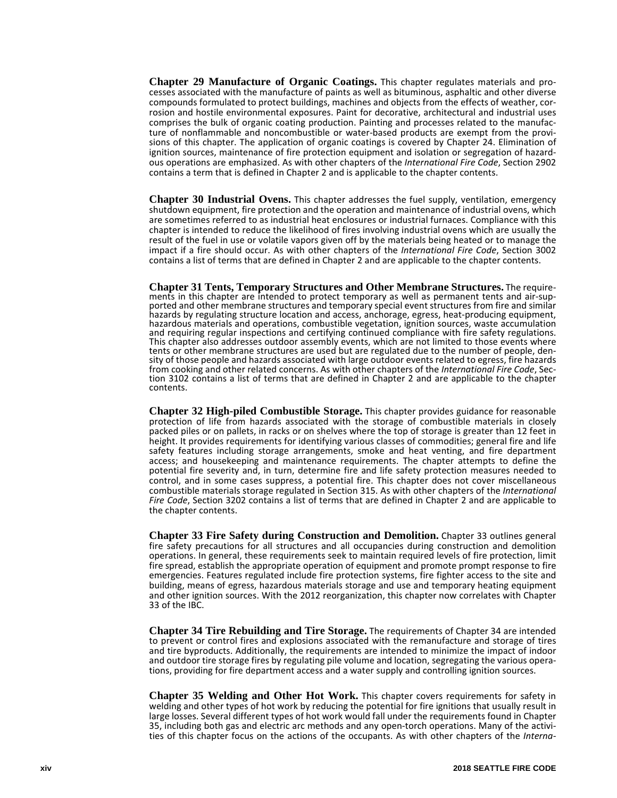**Chapter 29 Manufacture of Organic Coatings.** This chapter regulates materials and processes associated with the manufacture of paints as well as bituminous, asphaltic and other diverse compounds formulated to protect buildings, machines and objects from the effects of weather, corrosion and hostile environmental exposures. Paint for decorative, architectural and industrial uses comprises the bulk of organic coating production. Painting and processes related to the manufacture of nonflammable and noncombustible or water-based products are exempt from the provisions of this chapter. The application of organic coatings is covered by Chapter 24. Elimination of ignition sources, maintenance of fire protection equipment and isolation or segregation of hazardous operations are emphasized. As with other chapters of the *International Fire Code*, Section 2902 contains a term that is defined in Chapter 2 and is applicable to the chapter contents.

**Chapter 30 Industrial Ovens.** This chapter addresses the fuel supply, ventilation, emergency shutdown equipment, fire protection and the operation and maintenance of industrial ovens, which are sometimes referred to as industrial heat enclosures or industrial furnaces. Compliance with this chapter is intended to reduce the likelihood of fires involving industrial ovens which are usually the result of the fuel in use or volatile vapors given off by the materials being heated or to manage the impact if a fire should occur. As with other chapters of the *International Fire Code*, Section 3002 contains a list of terms that are defined in Chapter 2 and are applicable to the chapter contents.

**Chapter 31 Tents, Temporary Structures and Other Membrane Structures.** The requirements in this chapter are intended to protect temporary as well as permanent tents and air-supported and other membrane structures and temporary special event structures from fire and similar hazards by regulating structure location and access, anchorage, egress, heat-producing equipment, hazardous materials and operations, combustible vegetation, ignition sources, waste accumulation and requiring regular inspections and certifying continued compliance with fire safety regulations. This chapter also addresses outdoor assembly events, which are not limited to those events where tents or other membrane structures are used but are regulated due to the number of people, density of those people and hazards associated with large outdoor events related to egress, fire hazards from cooking and other related concerns. As with other chapters of the *International Fire Code*, Section 3102 contains a list of terms that are defined in Chapter 2 and are applicable to the chapter contents.

**Chapter 32 High-piled Combustible Storage.** This chapter provides guidance for reasonable protection of life from hazards associated with the storage of combustible materials in closely packed piles or on pallets, in racks or on shelves where the top of storage is greater than 12 feet in height. It provides requirements for identifying various classes of commodities; general fire and life safety features including storage arrangements, smoke and heat venting, and fire department access; and housekeeping and maintenance requirements. The chapter attempts to define the potential fire severity and, in turn, determine fire and life safety protection measures needed to control, and in some cases suppress, a potential fire. This chapter does not cover miscellaneous combustible materials storage regulated in Section 315. As with other chapters of the *International Fire Code*, Section 3202 contains a list of terms that are defined in Chapter 2 and are applicable to the chapter contents.

**Chapter 33 Fire Safety during Construction and Demolition.** Chapter 33 outlines general fire safety precautions for all structures and all occupancies during construction and demolition operations. In general, these requirements seek to maintain required levels of fire protection, limit fire spread, establish the appropriate operation of equipment and promote prompt response to fire emergencies. Features regulated include fire protection systems, fire fighter access to the site and building, means of egress, hazardous materials storage and use and temporary heating equipment and other ignition sources. With the 2012 reorganization, this chapter now correlates with Chapter 33 of the IBC.

**Chapter 34 Tire Rebuilding and Tire Storage.** The requirements of Chapter 34 are intended to prevent or control fires and explosions associated with the remanufacture and storage of tires and tire byproducts. Additionally, the requirements are intended to minimize the impact of indoor and outdoor tire storage fires by regulating pile volume and location, segregating the various operations, providing for fire department access and a water supply and controlling ignition sources.

**Chapter 35 Welding and Other Hot Work.** This chapter covers requirements for safety in welding and other types of hot work by reducing the potential for fire ignitions that usually result in large losses. Several different types of hot work would fall under the requirements found in Chapter 35, including both gas and electric arc methods and any open-torch operations. Many of the activities of this chapter focus on the actions of the occupants. As with other chapters of the *Interna-*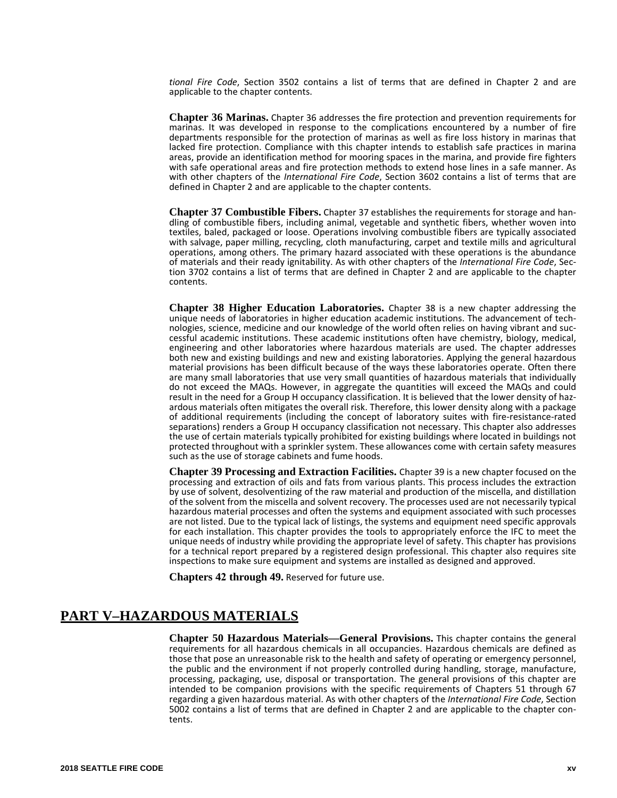*tional Fire Code*, Section 3502 contains a list of terms that are defined in Chapter 2 and are applicable to the chapter contents.

**Chapter 36 Marinas.** Chapter 36 addresses the fire protection and prevention requirements for marinas. It was developed in response to the complications encountered by a number of fire departments responsible for the protection of marinas as well as fire loss history in marinas that lacked fire protection. Compliance with this chapter intends to establish safe practices in marina areas, provide an identification method for mooring spaces in the marina, and provide fire fighters with safe operational areas and fire protection methods to extend hose lines in a safe manner. As with other chapters of the *International Fire Code*, Section 3602 contains a list of terms that are defined in Chapter 2 and are applicable to the chapter contents.

**Chapter 37 Combustible Fibers.** Chapter 37 establishes the requirements for storage and handling of combustible fibers, including animal, vegetable and synthetic fibers, whether woven into textiles, baled, packaged or loose. Operations involving combustible fibers are typically associated with salvage, paper milling, recycling, cloth manufacturing, carpet and textile mills and agricultural operations, among others. The primary hazard associated with these operations is the abundance of materials and their ready ignitability. As with other chapters of the *International Fire Code*, Section 3702 contains a list of terms that are defined in Chapter 2 and are applicable to the chapter contents.

**Chapter 38 Higher Education Laboratories.** Chapter 38 is a new chapter addressing the unique needs of laboratories in higher education academic institutions. The advancement of technologies, science, medicine and our knowledge of the world often relies on having vibrant and successful academic institutions. These academic institutions often have chemistry, biology, medical, engineering and other laboratories where hazardous materials are used. The chapter addresses both new and existing buildings and new and existing laboratories. Applying the general hazardous material provisions has been difficult because of the ways these laboratories operate. Often there are many small laboratories that use very small quantities of hazardous materials that individually do not exceed the MAQs. However, in aggregate the quantities will exceed the MAQs and could result in the need for a Group H occupancy classification. It is believed that the lower density of hazardous materials often mitigates the overall risk. Therefore, this lower density along with a package of additional requirements (including the concept of laboratory suites with fire-resistance-rated separations) renders a Group H occupancy classification not necessary. This chapter also addresses the use of certain materials typically prohibited for existing buildings where located in buildings not protected throughout with a sprinkler system. These allowances come with certain safety measures such as the use of storage cabinets and fume hoods.

**Chapter 39 Processing and Extraction Facilities.** Chapter 39 is a new chapter focused on the processing and extraction of oils and fats from various plants. This process includes the extraction by use of solvent, desolventizing of the raw material and production of the miscella, and distillation of the solvent from the miscella and solvent recovery. The processes used are not necessarily typical hazardous material processes and often the systems and equipment associated with such processes are not listed. Due to the typical lack of listings, the systems and equipment need specific approvals for each installation. This chapter provides the tools to appropriately enforce the IFC to meet the unique needs of industry while providing the appropriate level of safety. This chapter has provisions for a technical report prepared by a registered design professional. This chapter also requires site inspections to make sure equipment and systems are installed as designed and approved.

**Chapters 42 through 49.** Reserved for future use.

#### **PART V–HAZARDOUS MATERIALS**

**Chapter 50 Hazardous Materials—General Provisions.** This chapter contains the general requirements for all hazardous chemicals in all occupancies. Hazardous chemicals are defined as those that pose an unreasonable risk to the health and safety of operating or emergency personnel, the public and the environment if not properly controlled during handling, storage, manufacture, processing, packaging, use, disposal or transportation. The general provisions of this chapter are intended to be companion provisions with the specific requirements of Chapters 51 through 67 regarding a given hazardous material. As with other chapters of the *International Fire Code*, Section 5002 contains a list of terms that are defined in Chapter 2 and are applicable to the chapter contents.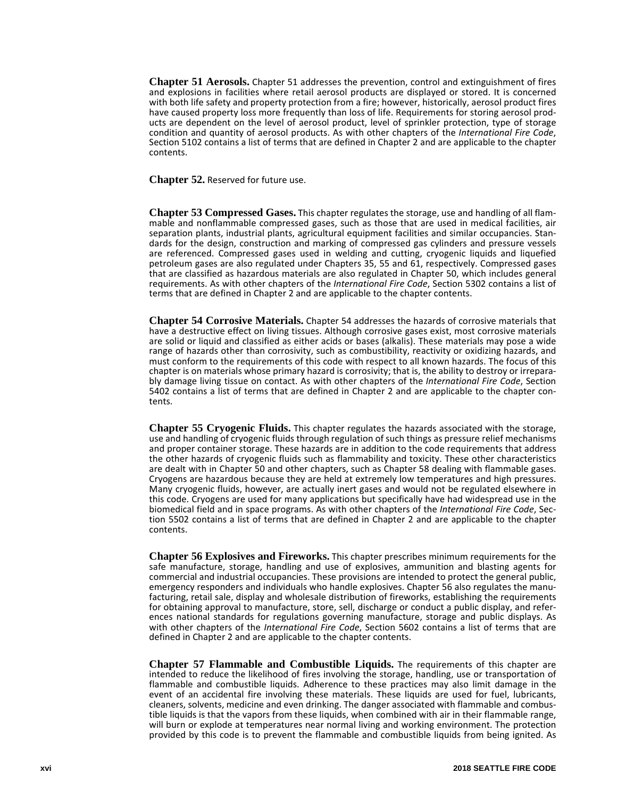**Chapter 51 Aerosols.** Chapter 51 addresses the prevention, control and extinguishment of fires and explosions in facilities where retail aerosol products are displayed or stored. It is concerned with both life safety and property protection from a fire; however, historically, aerosol product fires have caused property loss more frequently than loss of life. Requirements for storing aerosol products are dependent on the level of aerosol product, level of sprinkler protection, type of storage condition and quantity of aerosol products. As with other chapters of the *International Fire Code*, Section 5102 contains a list of terms that are defined in Chapter 2 and are applicable to the chapter contents.

**Chapter 52.** Reserved for future use.

**Chapter 53 Compressed Gases.** This chapter regulates the storage, use and handling of all flammable and nonflammable compressed gases, such as those that are used in medical facilities, air separation plants, industrial plants, agricultural equipment facilities and similar occupancies. Standards for the design, construction and marking of compressed gas cylinders and pressure vessels are referenced. Compressed gases used in welding and cutting, cryogenic liquids and liquefied petroleum gases are also regulated under Chapters 35, 55 and 61, respectively. Compressed gases that are classified as hazardous materials are also regulated in Chapter 50, which includes general requirements. As with other chapters of the *International Fire Code*, Section 5302 contains a list of terms that are defined in Chapter 2 and are applicable to the chapter contents.

**Chapter 54 Corrosive Materials.** Chapter 54 addresses the hazards of corrosive materials that have a destructive effect on living tissues. Although corrosive gases exist, most corrosive materials are solid or liquid and classified as either acids or bases (alkalis). These materials may pose a wide range of hazards other than corrosivity, such as combustibility, reactivity or oxidizing hazards, and must conform to the requirements of this code with respect to all known hazards. The focus of this chapter is on materials whose primary hazard is corrosivity; that is, the ability to destroy or irreparably damage living tissue on contact. As with other chapters of the *International Fire Code*, Section 5402 contains a list of terms that are defined in Chapter 2 and are applicable to the chapter contents.

**Chapter 55 Cryogenic Fluids.** This chapter regulates the hazards associated with the storage, use and handling of cryogenic fluids through regulation of such things as pressure relief mechanisms and proper container storage. These hazards are in addition to the code requirements that address the other hazards of cryogenic fluids such as flammability and toxicity. These other characteristics are dealt with in Chapter 50 and other chapters, such as Chapter 58 dealing with flammable gases. Cryogens are hazardous because they are held at extremely low temperatures and high pressures. Many cryogenic fluids, however, are actually inert gases and would not be regulated elsewhere in this code. Cryogens are used for many applications but specifically have had widespread use in the biomedical field and in space programs. As with other chapters of the *International Fire Code*, Section 5502 contains a list of terms that are defined in Chapter 2 and are applicable to the chapter contents.

**Chapter 56 Explosives and Fireworks.** This chapter prescribes minimum requirements for the safe manufacture, storage, handling and use of explosives, ammunition and blasting agents for commercial and industrial occupancies. These provisions are intended to protect the general public, emergency responders and individuals who handle explosives. Chapter 56 also regulates the manufacturing, retail sale, display and wholesale distribution of fireworks, establishing the requirements for obtaining approval to manufacture, store, sell, discharge or conduct a public display, and references national standards for regulations governing manufacture, storage and public displays. As with other chapters of the *International Fire Code*, Section 5602 contains a list of terms that are defined in Chapter 2 and are applicable to the chapter contents.

**Chapter 57 Flammable and Combustible Liquids.** The requirements of this chapter are intended to reduce the likelihood of fires involving the storage, handling, use or transportation of flammable and combustible liquids. Adherence to these practices may also limit damage in the event of an accidental fire involving these materials. These liquids are used for fuel, lubricants, cleaners, solvents, medicine and even drinking. The danger associated with flammable and combustible liquids is that the vapors from these liquids, when combined with air in their flammable range, will burn or explode at temperatures near normal living and working environment. The protection provided by this code is to prevent the flammable and combustible liquids from being ignited. As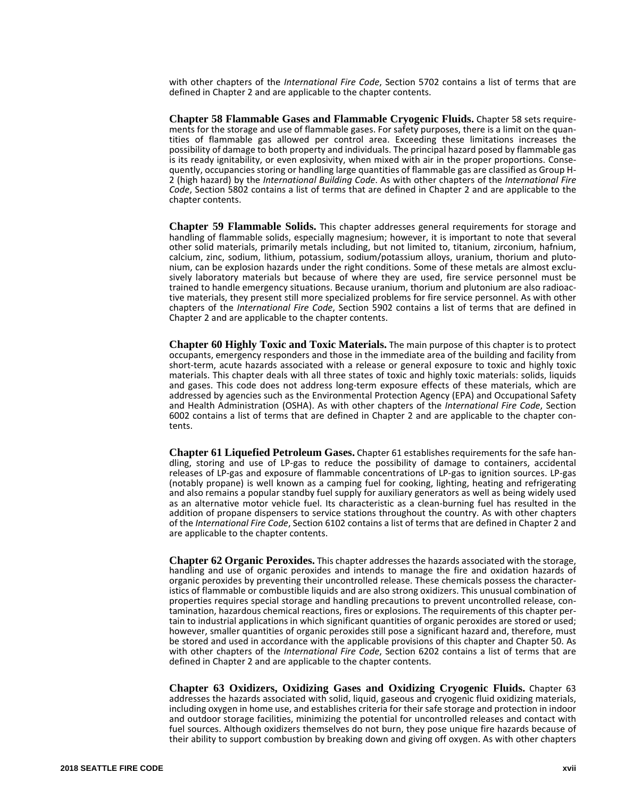with other chapters of the *International Fire Code*, Section 5702 contains a list of terms that are defined in Chapter 2 and are applicable to the chapter contents.

**Chapter 58 Flammable Gases and Flammable Cryogenic Fluids.** Chapter 58 sets requirements for the storage and use of flammable gases. For safety purposes, there is a limit on the quantities of flammable gas allowed per control area. Exceeding these limitations increases the possibility of damage to both property and individuals. The principal hazard posed by flammable gas is its ready ignitability, or even explosivity, when mixed with air in the proper proportions. Consequently, occupancies storing or handling large quantities of flammable gas are classified as Group H-2 (high hazard) by the *International Building Code*. As with other chapters of the *International Fire Code*, Section 5802 contains a list of terms that are defined in Chapter 2 and are applicable to the chapter contents.

**Chapter 59 Flammable Solids.** This chapter addresses general requirements for storage and handling of flammable solids, especially magnesium; however, it is important to note that several other solid materials, primarily metals including, but not limited to, titanium, zirconium, hafnium, calcium, zinc, sodium, lithium, potassium, sodium/potassium alloys, uranium, thorium and plutonium, can be explosion hazards under the right conditions. Some of these metals are almost exclusively laboratory materials but because of where they are used, fire service personnel must be trained to handle emergency situations. Because uranium, thorium and plutonium are also radioactive materials, they present still more specialized problems for fire service personnel. As with other chapters of the *International Fire Code*, Section 5902 contains a list of terms that are defined in Chapter 2 and are applicable to the chapter contents.

**Chapter 60 Highly Toxic and Toxic Materials.** The main purpose of this chapter is to protect occupants, emergency responders and those in the immediate area of the building and facility from short-term, acute hazards associated with a release or general exposure to toxic and highly toxic materials. This chapter deals with all three states of toxic and highly toxic materials: solids, liquids and gases. This code does not address long-term exposure effects of these materials, which are addressed by agencies such as the Environmental Protection Agency (EPA) and Occupational Safety and Health Administration (OSHA). As with other chapters of the *International Fire Code*, Section 6002 contains a list of terms that are defined in Chapter 2 and are applicable to the chapter contents.

**Chapter 61 Liquefied Petroleum Gases.** Chapter 61 establishes requirements for the safe handling, storing and use of LP-gas to reduce the possibility of damage to containers, accidental releases of LP-gas and exposure of flammable concentrations of LP-gas to ignition sources. LP-gas (notably propane) is well known as a camping fuel for cooking, lighting, heating and refrigerating and also remains a popular standby fuel supply for auxiliary generators as well as being widely used as an alternative motor vehicle fuel. Its characteristic as a clean-burning fuel has resulted in the addition of propane dispensers to service stations throughout the country. As with other chapters of the *International Fire Code*, Section 6102 contains a list of terms that are defined in Chapter 2 and are applicable to the chapter contents.

**Chapter 62 Organic Peroxides.** This chapter addresses the hazards associated with the storage, handling and use of organic peroxides and intends to manage the fire and oxidation hazards of organic peroxides by preventing their uncontrolled release. These chemicals possess the characteristics of flammable or combustible liquids and are also strong oxidizers. This unusual combination of properties requires special storage and handling precautions to prevent uncontrolled release, contamination, hazardous chemical reactions, fires or explosions. The requirements of this chapter pertain to industrial applications in which significant quantities of organic peroxides are stored or used; however, smaller quantities of organic peroxides still pose a significant hazard and, therefore, must be stored and used in accordance with the applicable provisions of this chapter and Chapter 50. As with other chapters of the *International Fire Code*, Section 6202 contains a list of terms that are defined in Chapter 2 and are applicable to the chapter contents.

**Chapter 63 Oxidizers, Oxidizing Gases and Oxidizing Cryogenic Fluids.** Chapter 63 addresses the hazards associated with solid, liquid, gaseous and cryogenic fluid oxidizing materials, including oxygen in home use, and establishes criteria for their safe storage and protection in indoor and outdoor storage facilities, minimizing the potential for uncontrolled releases and contact with fuel sources. Although oxidizers themselves do not burn, they pose unique fire hazards because of their ability to support combustion by breaking down and giving off oxygen. As with other chapters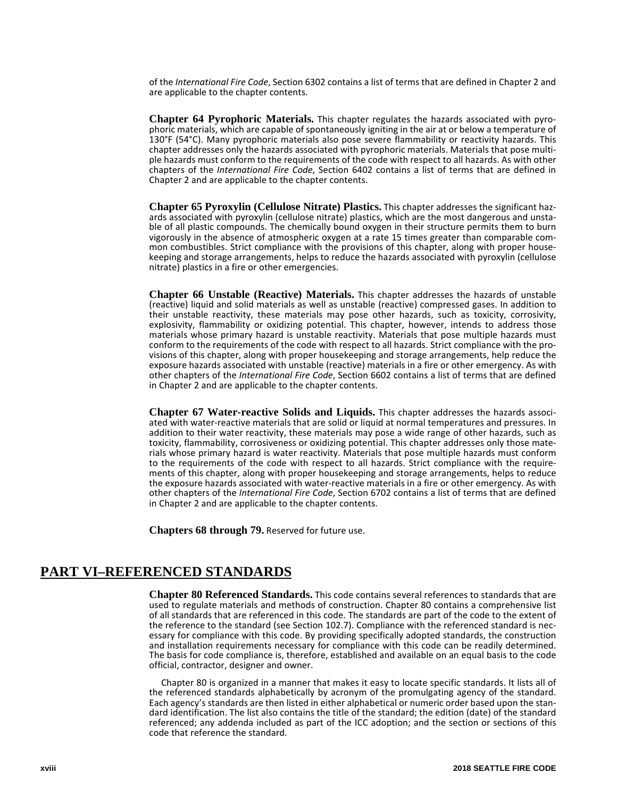of the *International Fire Code*, Section 6302 contains a list of terms that are defined in Chapter 2 and are applicable to the chapter contents.

**Chapter 64 Pyrophoric Materials.** This chapter regulates the hazards associated with pyrophoric materials, which are capable of spontaneously igniting in the air at or below a temperature of 130°F (54°C). Many pyrophoric materials also pose severe flammability or reactivity hazards. This chapter addresses only the hazards associated with pyrophoric materials. Materials that pose multiple hazards must conform to the requirements of the code with respect to all hazards. As with other chapters of the *International Fire Code*, Section 6402 contains a list of terms that are defined in Chapter 2 and are applicable to the chapter contents.

**Chapter 65 Pyroxylin (Cellulose Nitrate) Plastics.** This chapter addresses the significant hazards associated with pyroxylin (cellulose nitrate) plastics, which are the most dangerous and unstable of all plastic compounds. The chemically bound oxygen in their structure permits them to burn vigorously in the absence of atmospheric oxygen at a rate 15 times greater than comparable common combustibles. Strict compliance with the provisions of this chapter, along with proper housekeeping and storage arrangements, helps to reduce the hazards associated with pyroxylin (cellulose nitrate) plastics in a fire or other emergencies.

**Chapter 66 Unstable (Reactive) Materials.** This chapter addresses the hazards of unstable (reactive) liquid and solid materials as well as unstable (reactive) compressed gases. In addition to their unstable reactivity, these materials may pose other hazards, such as toxicity, corrosivity, explosivity, flammability or oxidizing potential. This chapter, however, intends to address those materials whose primary hazard is unstable reactivity. Materials that pose multiple hazards must conform to the requirements of the code with respect to all hazards. Strict compliance with the provisions of this chapter, along with proper housekeeping and storage arrangements, help reduce the exposure hazards associated with unstable (reactive) materials in a fire or other emergency. As with other chapters of the *International Fire Code*, Section 6602 contains a list of terms that are defined in Chapter 2 and are applicable to the chapter contents.

**Chapter 67 Water-reactive Solids and Liquids.** This chapter addresses the hazards associated with water-reactive materials that are solid or liquid at normal temperatures and pressures. In addition to their water reactivity, these materials may pose a wide range of other hazards, such as toxicity, flammability, corrosiveness or oxidizing potential. This chapter addresses only those materials whose primary hazard is water reactivity. Materials that pose multiple hazards must conform to the requirements of the code with respect to all hazards. Strict compliance with the requirements of this chapter, along with proper housekeeping and storage arrangements, helps to reduce the exposure hazards associated with water-reactive materials in a fire or other emergency. As with other chapters of the *International Fire Code*, Section 6702 contains a list of terms that are defined in Chapter 2 and are applicable to the chapter contents.

**Chapters 68 through 79.** Reserved for future use.

#### **PART VI–REFERENCED STANDARDS**

**Chapter 80 Referenced Standards.** This code contains several references to standards that are used to regulate materials and methods of construction. Chapter 80 contains a comprehensive list of all standards that are referenced in this code. The standards are part of the code to the extent of the reference to the standard (see Section 102.7). Compliance with the referenced standard is necessary for compliance with this code. By providing specifically adopted standards, the construction and installation requirements necessary for compliance with this code can be readily determined. The basis for code compliance is, therefore, established and available on an equal basis to the code official, contractor, designer and owner.

Chapter 80 is organized in a manner that makes it easy to locate specific standards. It lists all of the referenced standards alphabetically by acronym of the promulgating agency of the standard. Each agency's standards are then listed in either alphabetical or numeric order based upon the standard identification. The list also contains the title of the standard; the edition (date) of the standard referenced; any addenda included as part of the ICC adoption; and the section or sections of this code that reference the standard.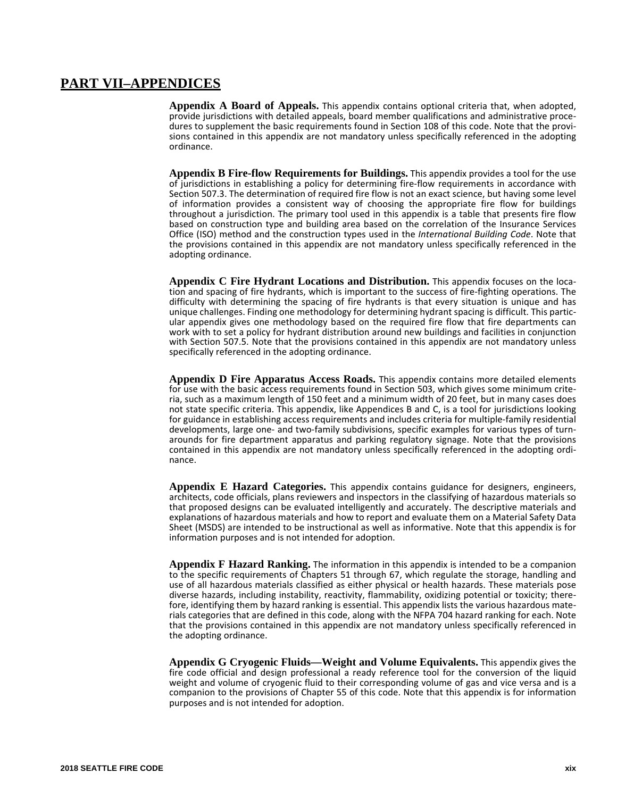#### **PART VII–APPENDICES**

**Appendix A Board of Appeals.** This appendix contains optional criteria that, when adopted, provide jurisdictions with detailed appeals, board member qualifications and administrative procedures to supplement the basic requirements found in Section 108 of this code. Note that the provisions contained in this appendix are not mandatory unless specifically referenced in the adopting ordinance.

**Appendix B Fire-flow Requirements for Buildings.** This appendix provides a tool for the use of jurisdictions in establishing a policy for determining fire-flow requirements in accordance with Section 507.3. The determination of required fire flow is not an exact science, but having some level of information provides a consistent way of choosing the appropriate fire flow for buildings throughout a jurisdiction. The primary tool used in this appendix is a table that presents fire flow based on construction type and building area based on the correlation of the Insurance Services Office (ISO) method and the construction types used in the *International Building Code*. Note that the provisions contained in this appendix are not mandatory unless specifically referenced in the adopting ordinance.

**Appendix C Fire Hydrant Locations and Distribution.** This appendix focuses on the location and spacing of fire hydrants, which is important to the success of fire-fighting operations. The difficulty with determining the spacing of fire hydrants is that every situation is unique and has unique challenges. Finding one methodology for determining hydrant spacing is difficult. This particular appendix gives one methodology based on the required fire flow that fire departments can work with to set a policy for hydrant distribution around new buildings and facilities in conjunction with Section 507.5. Note that the provisions contained in this appendix are not mandatory unless specifically referenced in the adopting ordinance.

**Appendix D Fire Apparatus Access Roads.** This appendix contains more detailed elements for use with the basic access requirements found in Section 503, which gives some minimum criteria, such as a maximum length of 150 feet and a minimum width of 20 feet, but in many cases does not state specific criteria. This appendix, like Appendices B and C, is a tool for jurisdictions looking for guidance in establishing access requirements and includes criteria for multiple-family residential developments, large one- and two-family subdivisions, specific examples for various types of turnarounds for fire department apparatus and parking regulatory signage. Note that the provisions contained in this appendix are not mandatory unless specifically referenced in the adopting ordinance.

**Appendix E Hazard Categories.** This appendix contains guidance for designers, engineers, architects, code officials, plans reviewers and inspectors in the classifying of hazardous materials so that proposed designs can be evaluated intelligently and accurately. The descriptive materials and explanations of hazardous materials and how to report and evaluate them on a Material Safety Data Sheet (MSDS) are intended to be instructional as well as informative. Note that this appendix is for information purposes and is not intended for adoption.

**Appendix F Hazard Ranking.** The information in this appendix is intended to be a companion to the specific requirements of Chapters 51 through 67, which regulate the storage, handling and use of all hazardous materials classified as either physical or health hazards. These materials pose diverse hazards, including instability, reactivity, flammability, oxidizing potential or toxicity; therefore, identifying them by hazard ranking is essential. This appendix lists the various hazardous materials categories that are defined in this code, along with the NFPA 704 hazard ranking for each. Note that the provisions contained in this appendix are not mandatory unless specifically referenced in the adopting ordinance.

**Appendix G Cryogenic Fluids—Weight and Volume Equivalents.** This appendix gives the fire code official and design professional a ready reference tool for the conversion of the liquid weight and volume of cryogenic fluid to their corresponding volume of gas and vice versa and is a companion to the provisions of Chapter 55 of this code. Note that this appendix is for information purposes and is not intended for adoption.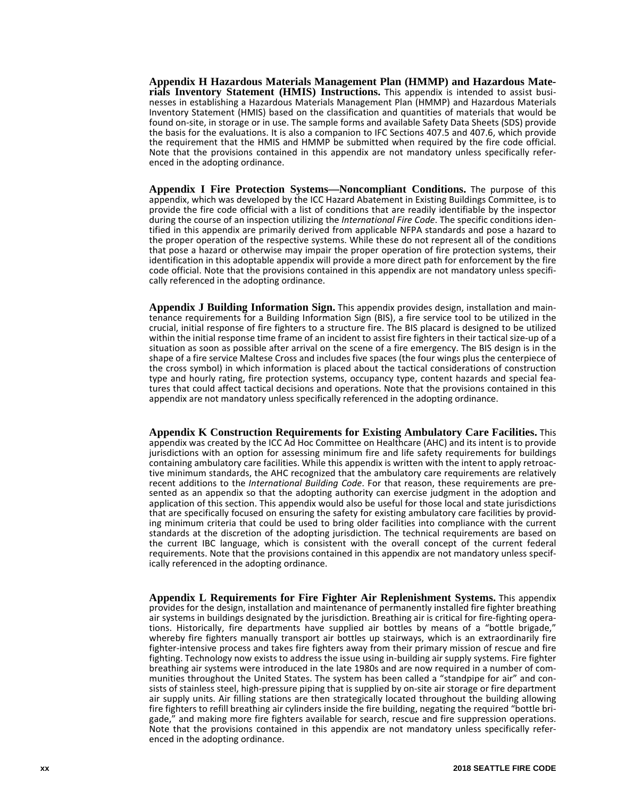**Appendix H Hazardous Materials Management Plan (HMMP) and Hazardous Materials Inventory Statement (HMIS) Instructions.** This appendix is intended to assist businesses in establishing a Hazardous Materials Management Plan (HMMP) and Hazardous Materials Inventory Statement (HMIS) based on the classification and quantities of materials that would be found on-site, in storage or in use. The sample forms and available Safety Data Sheets (SDS) provide the basis for the evaluations. It is also a companion to IFC Sections 407.5 and 407.6, which provide the requirement that the HMIS and HMMP be submitted when required by the fire code official. Note that the provisions contained in this appendix are not mandatory unless specifically referenced in the adopting ordinance.

**Appendix I Fire Protection Systems—Noncompliant Conditions.** The purpose of this appendix, which was developed by the ICC Hazard Abatement in Existing Buildings Committee, is to provide the fire code official with a list of conditions that are readily identifiable by the inspector during the course of an inspection utilizing the *International Fire Code*. The specific conditions identified in this appendix are primarily derived from applicable NFPA standards and pose a hazard to the proper operation of the respective systems. While these do not represent all of the conditions that pose a hazard or otherwise may impair the proper operation of fire protection systems, their identification in this adoptable appendix will provide a more direct path for enforcement by the fire code official. Note that the provisions contained in this appendix are not mandatory unless specifically referenced in the adopting ordinance.

**Appendix J Building Information Sign.** This appendix provides design, installation and maintenance requirements for a Building Information Sign (BIS), a fire service tool to be utilized in the crucial, initial response of fire fighters to a structure fire. The BIS placard is designed to be utilized within the initial response time frame of an incident to assist fire fighters in their tactical size-up of a situation as soon as possible after arrival on the scene of a fire emergency. The BIS design is in the shape of a fire service Maltese Cross and includes five spaces (the four wings plus the centerpiece of the cross symbol) in which information is placed about the tactical considerations of construction type and hourly rating, fire protection systems, occupancy type, content hazards and special features that could affect tactical decisions and operations. Note that the provisions contained in this appendix are not mandatory unless specifically referenced in the adopting ordinance.

**Appendix K Construction Requirements for Existing Ambulatory Care Facilities.** This appendix was created by the ICC Ad Hoc Committee on Healthcare (AHC) and its intent is to provide jurisdictions with an option for assessing minimum fire and life safety requirements for buildings containing ambulatory care facilities. While this appendix is written with the intent to apply retroactive minimum standards, the AHC recognized that the ambulatory care requirements are relatively recent additions to the *International Building Code*. For that reason, these requirements are presented as an appendix so that the adopting authority can exercise judgment in the adoption and application of this section. This appendix would also be useful for those local and state jurisdictions that are specifically focused on ensuring the safety for existing ambulatory care facilities by providing minimum criteria that could be used to bring older facilities into compliance with the current standards at the discretion of the adopting jurisdiction. The technical requirements are based on the current IBC language, which is consistent with the overall concept of the current federal requirements. Note that the provisions contained in this appendix are not mandatory unless specifically referenced in the adopting ordinance.

**Appendix L Requirements for Fire Fighter Air Replenishment Systems.** This appendix provides for the design, installation and maintenance of permanently installed fire fighter breathing air systems in buildings designated by the jurisdiction. Breathing air is critical for fire-fighting operations. Historically, fire departments have supplied air bottles by means of a "bottle brigade," whereby fire fighters manually transport air bottles up stairways, which is an extraordinarily fire fighter-intensive process and takes fire fighters away from their primary mission of rescue and fire fighting. Technology now exists to address the issue using in-building air supply systems. Fire fighter breathing air systems were introduced in the late 1980s and are now required in a number of communities throughout the United States. The system has been called a "standpipe for air" and consists of stainless steel, high-pressure piping that is supplied by on-site air storage or fire department air supply units. Air filling stations are then strategically located throughout the building allowing fire fighters to refill breathing air cylinders inside the fire building, negating the required "bottle brigade," and making more fire fighters available for search, rescue and fire suppression operations. Note that the provisions contained in this appendix are not mandatory unless specifically referenced in the adopting ordinance.